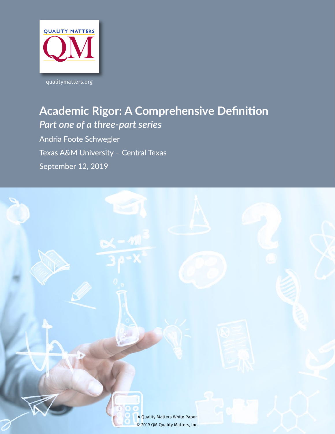

# **Academic Rigor: A Comprehensive Definition** *Part one of a three-part series*

Andria Foote Schwegler Texas A&M University – Central Texas September 12, 2019

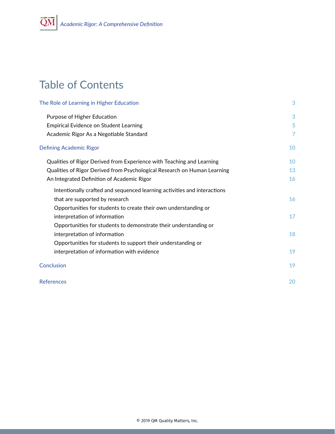# Table of Contents

| The Role of Learning in Higher Education                                 | 3              |
|--------------------------------------------------------------------------|----------------|
| Purpose of Higher Education                                              | 3              |
| <b>Empirical Evidence on Student Learning</b>                            | 5              |
| Academic Rigor As a Negotiable Standard                                  | $\overline{7}$ |
| <b>Defining Academic Rigor</b>                                           | 10             |
| Qualities of Rigor Derived from Experience with Teaching and Learning    | 10             |
| Qualities of Rigor Derived from Psychological Research on Human Learning | 13             |
| An Integrated Definition of Academic Rigor                               | 16             |
| Intentionally crafted and sequenced learning activities and interactions |                |
| that are supported by research                                           | 16             |
| Opportunities for students to create their own understanding or          |                |
| interpretation of information                                            | 17             |
| Opportunities for students to demonstrate their understanding or         |                |
| interpretation of information                                            | 18             |
| Opportunities for students to support their understanding or             |                |
| interpretation of information with evidence                              | 19             |
| Conclusion                                                               | 19             |
| <b>References</b>                                                        | 20             |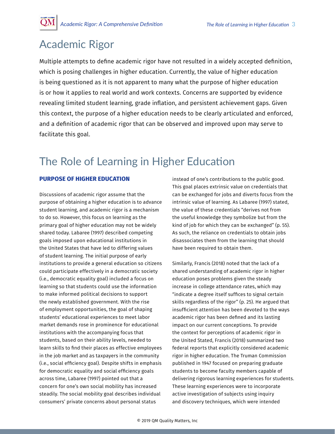## <span id="page-2-0"></span>Academic Rigor

Multiple attempts to define academic rigor have not resulted in a widely accepted definition, which is posing challenges in higher education. Currently, the value of higher education is being questioned as it is not apparent to many what the purpose of higher education is or how it applies to real world and work contexts. Concerns are supported by evidence revealing limited student learning, grade inflation, and persistent achievement gaps. Given this context, the purpose of a higher education needs to be clearly articulated and enforced, and a definition of academic rigor that can be observed and improved upon may serve to facilitate this goal.

# The Role of Learning in Higher Education

## **PURPOSE OF HIGHER EDUCATION**

Discussions of academic rigor assume that the purpose of obtaining a higher education is to advance student learning, and academic rigor is a mechanism to do so. However, this focus on learning as the primary goal of higher education may not be widely shared today. Labaree (1997) described competing goals imposed upon educational institutions in the United States that have led to differing values of student learning. The initial purpose of early institutions to provide a general education so citizens could participate effectively in a democratic society (i.e., democratic equality goal) included a focus on learning so that students could use the information to make informed political decisions to support the newly established government. With the rise of employment opportunities, the goal of shaping students' educational experiences to meet labor market demands rose in prominence for educational institutions with the accompanying focus that students, based on their ability levels, needed to learn skills to find their places as effective employees in the job market and as taxpayers in the community (i.e., social efficiency goal). Despite shifts in emphasis for democratic equality and social efficiency goals across time, Labaree (1997) pointed out that a concern for one's own social mobility has increased steadily. The social mobility goal describes individual consumers' private concerns about personal status

instead of one's contributions to the public good. This goal places extrinsic value on credentials that can be exchanged for jobs and diverts focus from the intrinsic value of learning. As Labaree (1997) stated, the value of these credentials "derives not from the useful knowledge they symbolize but from the kind of job for which they can be exchanged" (p. 55). As such, the reliance on credentials to obtain jobs disassociates them from the learning that should have been required to obtain them.

Similarly, Francis (2018) noted that the lack of a shared understanding of academic rigor in higher education poses problems given the steady increase in college attendance rates, which may "indicate a degree itself suffices to signal certain skills regardless of the rigor" (p. 25). He argued that insufficient attention has been devoted to the ways academic rigor has been defined and its lasting impact on our current conceptions. To provide the context for perceptions of academic rigor in the United Stated, Francis (2018) summarized two federal reports that explicitly considered academic rigor in higher education. The Truman Commission published in 1947 focused on preparing graduate students to become faculty members capable of delivering rigorous learning experiences for students. These learning experiences were to incorporate active investigation of subjects using inquiry and discovery techniques, which were intended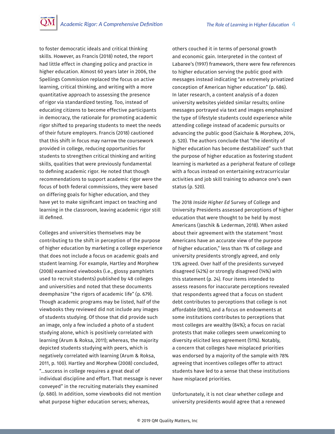to foster democratic ideals and critical thinking skills. However, as Francis (2018) noted, the report had little effect in changing policy and practice in higher education. Almost 60 years later in 2006, the Spellings Commission replaced the focus on active learning, critical thinking, and writing with a more quantitative approach to assessing the presence of rigor via standardized testing. Too, instead of educating citizens to become effective participants in democracy, the rationale for promoting academic rigor shifted to preparing students to meet the needs of their future employers. Francis (2018) cautioned that this shift in focus may narrow the coursework provided in college, reducing opportunities for students to strengthen critical thinking and writing skills, qualities that were previously fundamental to defining academic rigor. He noted that though recommendations to support academic rigor were the focus of both federal commissions, they were based on differing goals for higher education, and they have yet to make significant impact on teaching and learning in the classroom, leaving academic rigor still ill defined.

Colleges and universities themselves may be contributing to the shift in perception of the purpose of higher education by marketing a college experience that does not include a focus on academic goals and student learning. For example, Hartley and Morphew (2008) examined viewbooks (i.e., glossy pamphlets used to recruit students) published by 48 colleges and universities and noted that these documents deemphasize "the rigors of academic life" (p. 679). Though academic programs may be listed, half of the viewbooks they reviewed did not include any images of students studying. Of those that did provide such an image, only a few included a photo of a student studying alone, which is positively correlated with learning (Arum & Roksa, 2011); whereas, the majority depicted students studying with peers, which is negatively correlated with learning (Arum & Roksa, 2011, p. 100). Hartley and Morphew (2008) concluded, "…success in college requires a great deal of individual discipline and effort. That message is never conveyed" in the recruiting materials they examined (p. 680). In addition, some viewbooks did not mention what purpose higher education serves; whereas,

others couched it in terms of personal growth and economic gain. Interpreted in the context of Labaree's (1997) framework, there were few references to higher education serving the public good with messages instead indicating "an extremely privatized conception of American higher education" (p. 686). In later research, a content analysis of a dozen university websites yielded similar results; online messages portrayed via text and images emphasized the type of lifestyle students could experience while attending college instead of academic pursuits or advancing the public good (Saichaie & Morphew, 2014, p. 520). The authors conclude that "the identity of higher education has become destabilized" such that the purpose of higher education as fostering student learning is marketed as a peripheral feature of college with a focus instead on entertaining extracurricular activities and job skill training to advance one's own status (p. 520).

The 2018 *Inside Higher Ed* Survey of College and University Presidents assessed perceptions of higher education that were thought to be held by most Americans (Jaschik & Lederman, 2018). When asked about their agreement with the statement "most Americans have an accurate view of the purpose of higher education," less than 1% of college and university presidents strongly agreed, and only 13% agreed. Over half of the presidents surveyed disagreed (42%) or strongly disagreed (14%) with this statement (p. 24). Four items intended to assess reasons for inaccurate perceptions revealed that respondents agreed that a focus on student debt contributes to perceptions that college is not affordable (86%), and a focus on endowments at some institutions contributes to perceptions that most colleges are wealthy (84%); a focus on racial protests that make colleges seem unwelcoming to diversity elicited less agreement (51%). Notably, a concern that colleges have misplaced priorities was endorsed by a majority of the sample with 78% agreeing that incentives colleges offer to attract students have led to a sense that these institutions have misplaced priorities.

Unfortunately, it is not clear whether college and university presidents would agree that a renewed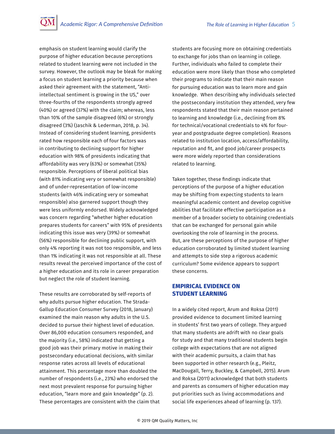<span id="page-4-0"></span>emphasis on student learning would clarify the purpose of higher education because perceptions related to student learning were not included in the survey. However, the outlook may be bleak for making a focus on student learning a priority because when asked their agreement with the statement, "Antiintellectual sentiment is growing in the US," over three-fourths of the respondents strongly agreed (40%) or agreed (37%) with the claim; whereas, less than 10% of the sample disagreed (6%) or strongly disagreed (3%) (Jaschik & Lederman, 2018, p. 34). Instead of considering student learning, presidents rated how responsible each of four factors was in contributing to declining support for higher education with 98% of presidents indicating that affordability was very (63%) or somewhat (35%) responsible. Perceptions of liberal political bias (with 81% indicating very or somewhat responsible) and of under-representation of low-income students (with 46% indicating very or somewhat responsible) also garnered support though they were less uniformly endorsed. Widely acknowledged was concern regarding "whether higher education prepares students for careers" with 95% of presidents indicating this issue was very (39%) or somewhat (56%) responsible for declining public support, with only 4% reporting it was not too responsible, and less than 1% indicating it was not responsible at all. These results reveal the perceived importance of the cost of a higher education and its role in career preparation but neglect the role of student learning.

These results are corroborated by self-reports of why adults pursue higher education. The Strada-Gallup Education Consumer Survey (2018, January) examined the main reason why adults in the U.S. decided to pursue their highest level of education. Over 86,000 education consumers responded, and the majority (i.e., 58%) indicated that getting a good job was their primary motive in making their postsecondary educational decisions, with similar response rates across all levels of educational attainment. This percentage more than doubled the number of respondents (i.e., 23%) who endorsed the next most prevalent response for pursuing higher education, "learn more and gain knowledge" (p. 2). These percentages are consistent with the claim that students are focusing more on obtaining credentials to exchange for jobs than on learning in college. Further, individuals who failed to complete their education were more likely than those who completed their programs to indicate that their main reason for pursuing education was to learn more and gain knowledge. When describing why individuals selected the postsecondary institution they attended, very few respondents stated that their main reason pertained to learning and knowledge (i.e., declining from 8% for technical/vocational credentials to 4% for fouryear and postgraduate degree completion). Reasons related to institution location, access/affordability, reputation and fit, and good job/career prospects were more widely reported than considerations related to learning.

Taken together, these findings indicate that perceptions of the purpose of a higher education may be shifting from expecting students to learn meaningful academic content and develop cognitive abilities that facilitate effective participation as a member of a broader society to obtaining credentials that can be exchanged for personal gain while overlooking the role of learning in the process. But, are these perceptions of the purpose of higher education corroborated by limited student learning and attempts to side step a rigorous academic curriculum? Some evidence appears to support these concerns.

## **EMPIRICAL EVIDENCE ON STUDENT LEARNING**

In a widely cited report, Arum and Roksa (2011) provided evidence to document limited learning in students' first two years of college. They argued that many students are adrift with no clear goals for study and that many traditional students begin college with expectations that are not aligned with their academic pursuits, a claim that has been supported in other research (e.g., Pleitz, MacDougall, Terry, Buckley, & Campbell, 2015). Arum and Roksa (2011) acknowledged that both students and parents as consumers of higher education may put priorities such as living accommodations and social life experiences ahead of learning (p. 137).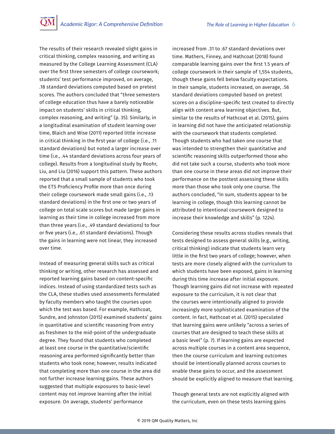The results of their research revealed slight gains in critical thinking, complex reasoning, and writing as measured by the College Learning Assessment (CLA) over the first three semesters of college coursework; students' test performance improved, on average, .18 standard deviations computed based on pretest scores. The authors concluded that "three semesters of college education thus have a barely noticeable impact on students' skills in critical thinking, complex reasoning, and writing" (p. 35). Similarly, in a longitudinal examination of student learning over time, Blaich and Wise (2011) reported little increase in critical thinking in the first year of college (i.e., .11 standard deviations) but noted a larger increase over time (i.e., .44 standard deviations across four years of college). Results from a longitudinal study by Roohr, Liu, and Liu (2016) support this pattern. These authors reported that a small sample of students who took the ETS Proficiency Profile more than once during their college coursework made small gains (i.e., .13 standard deviations) in the first one or two years of college on total scale scores but made larger gains in learning as their time in college increased from more than three years (i.e., .49 standard deviations) to four or five years (i.e., .61 standard deviations). Though the gains in learning were not linear, they increased over time.

Instead of measuring general skills such as critical thinking or writing, other research has assessed and reported learning gains based on content-specific indices. Instead of using standardized tests such as the CLA, these studies used assessments formulated by faculty members who taught the courses upon which the test was based. For example, Hathcoat, Sundre, and Johnston (2015) examined students' gains in quantitative and scientific reasoning from entry as freshmen to the mid-point of the undergraduate degree. They found that students who completed at least one course in the quantitative/scientific reasoning area performed significantly better than students who took none; however, results indicated that completing more than one course in the area did not further increase learning gains. These authors suggested that multiple exposures to basic-level content may not improve learning after the initial exposure. On average, students' performance

increased from .31 to .67 standard deviations over time. Mathers, Finney, and Hathcoat (2018) found comparable learning gains over the first 1.5 years of college coursework in their sample of 1,554 students, though these gains fell below faculty expectations. In their sample, students increased, on average, .56 standard deviations computed based on pretest scores on a discipline-specific test created to directly align with content area learning objectives. But, similar to the results of Hathcoat et al. (2015), gains in learning did not have the anticipated relationship with the coursework that students completed. Though students who had taken one course that was intended to strengthen their quantitative and scientific reasoning skills outperformed those who did not take such a course, students who took more than one course in these areas did not improve their performance on the posttest assessing these skills more than those who took only one course. The authors concluded, "In sum, students appear to be learning in college, though this learning cannot be attributed to intentional coursework designed to increase their knowledge and skills" (p. 1224).

Considering these results across studies reveals that tests designed to assess general skills (e.g., writing, critical thinking) indicate that students learn very little in the first two years of college; however, when tests are more closely aligned with the curriculum to which students have been exposed, gains in learning during this time increase after initial exposure. Though learning gains did not increase with repeated exposure to the curriculum, it is not clear that the courses were intentionally aligned to provide increasingly more sophisticated examination of the content. In fact, Hathcoat et al. (2015) speculated that learning gains were unlikely "across a series of courses that are designed to teach these skills at a basic level" (p. 7). If learning gains are expected across multiple courses in a content area sequence, then the course curriculum and learning outcomes should be intentionally planned across courses to enable these gains to occur, and the assessment should be explicitly aligned to measure that learning.

Though general tests are not explicitly aligned with the curriculum, even on these tests learning gains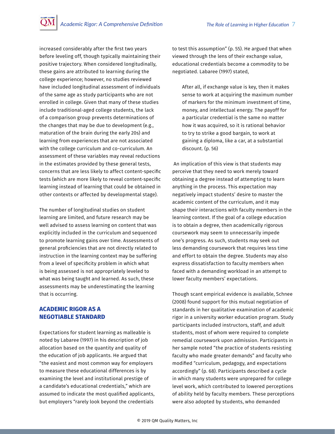<span id="page-6-0"></span>increased considerably after the first two years before leveling off, though typically maintaining their positive trajectory. When considered longitudinally, these gains are attributed to learning during the college experience; however, no studies reviewed have included longitudinal assessment of individuals of the same age as study participants who are not enrolled in college. Given that many of these studies include traditional-aged college students, the lack of a comparison group prevents determinations of the changes that may be due to development (e.g., maturation of the brain during the early 20s) and learning from experiences that are not associated with the college curriculum and co-curriculum. An assessment of these variables may reveal reductions in the estimates provided by these general tests, concerns that are less likely to affect content-specific tests (which are more likely to reveal content-specific learning instead of learning that could be obtained in other contexts or affected by developmental stage).

The number of longitudinal studies on student learning are limited, and future research may be well advised to assess learning on content that was explicitly included in the curriculum and sequenced to promote learning gains over time. Assessments of general proficiencies that are not directly related to instruction in the learning context may be suffering from a level of specificity problem in which what is being assessed is not appropriately leveled to what was being taught and learned. As such, these assessments may be underestimating the learning that is occurring.

### **ACADEMIC RIGOR AS A NEGOTIABLE STANDARD**

Expectations for student learning as malleable is noted by Labaree (1997) in his description of job allocation based on the quantity and quality of the education of job applicants. He argued that "the easiest and most common way for employers to measure these educational differences is by examining the level and institutional prestige of a candidate's educational credentials," which are assumed to indicate the most qualified applicants, but employers "rarely look beyond the credentials

to test this assumption" (p. 55). He argued that when viewed through the lens of their exchange value, educational credentials become a commodity to be negotiated. Labaree (1997) stated,

After all, if exchange value is key, then it makes sense to work at acquiring the maximum number of markers for the minimum investment of time, money, and intellectual energy. The payoff for a particular credential is the same no matter how it was acquired, so it is rational behavior to try to strike a good bargain, to work at gaining a diploma, like a car, at a substantial discount. (p. 56)

 An implication of this view is that students may perceive that they need to work merely toward obtaining a degree instead of attempting to learn anything in the process. This expectation may negatively impact students' desire to master the academic content of the curriculum, and it may shape their interactions with faculty members in the learning context. If the goal of a college education is to obtain a degree, then academically rigorous coursework may seem to unnecessarily impede one's progress. As such, students may seek out less demanding coursework that requires less time and effort to obtain the degree. Students may also express dissatisfaction to faculty members when faced with a demanding workload in an attempt to lower faculty members' expectations.

Though scant empirical evidence is available, Schnee (2008) found support for this mutual negotiation of standards in her qualitative examination of academic rigor in a university worker education program. Study participants included instructors, staff, and adult students, most of whom were required to complete remedial coursework upon admission. Participants in her sample noted "the practice of students resisting faculty who made greater demands" and faculty who modified "curriculum, pedagogy, and expectations accordingly" (p. 68). Participants described a cycle in which many students were unprepared for college level work, which contributed to lowered perceptions of ability held by faculty members. These perceptions were also adopted by students, who demanded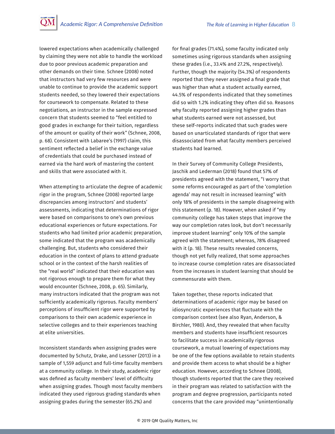lowered expectations when academically challenged by claiming they were not able to handle the workload due to poor previous academic preparation and other demands on their time. Schnee (2008) noted that instructors had very few resources and were unable to continue to provide the academic support students needed, so they lowered their expectations for coursework to compensate. Related to these negotiations, an instructor in the sample expressed concern that students seemed to "feel entitled to good grades in exchange for their tuition, regardless of the amount or quality of their work" (Schnee, 2008, p. 68). Consistent with Labaree's (1997) claim, this sentiment reflected a belief in the exchange value of credentials that could be purchased instead of earned via the hard work of mastering the content and skills that were associated with it.

When attempting to articulate the degree of academic rigor in the program, Schnee (2008) reported large discrepancies among instructors' and students' assessments, indicating that determinations of rigor were based on comparisons to one's own previous educational experiences or future expectations. For students who had limited prior academic preparation, some indicated that the program was academically challenging. But, students who considered their education in the context of plans to attend graduate school or in the context of the harsh realities of the "real world" indicated that their education was not rigorous enough to prepare them for what they would encounter (Schnee, 2008, p. 65). Similarly, many instructors indicated that the program was not sufficiently academically rigorous. Faculty members' perceptions of insufficient rigor were supported by comparisons to their own academic experience in selective colleges and to their experiences teaching at elite universities.

Inconsistent standards when assigning grades were documented by Schutz, Drake, and Lessner (2013) in a sample of 1,559 adjunct and full-time faculty members at a community college. In their study, academic rigor was defined as faculty members' level of difficulty when assigning grades. Though most faculty members indicated they used rigorous grading standards when assigning grades during the semester (65.2%) and

for final grades (71.4%), some faculty indicated only sometimes using rigorous standards when assigning these grades (i.e., 33.4% and 27.2%, respectively). Further, though the majority (54.3%) of respondents reported that they never assigned a final grade that was higher than what a student actually earned, 44.5% of respondents indicated that they sometimes did so with 1.2% indicating they often did so. Reasons why faculty reported assigning higher grades than what students earned were not assessed, but these self-reports indicated that such grades were based on unarticulated standards of rigor that were disassociated from what faculty members perceived students had learned.

In their Survey of Community College Presidents, Jaschik and Lederman (2018) found that 57% of presidents agreed with the statement, "I worry that some reforms encouraged as part of the 'completion agenda' may not result in increased learning" with only 18% of presidents in the sample disagreeing with this statement (p. 18). However, when asked if "my community college has taken steps that improve the way our completion rates look, but don't necessarily improve student learning" only 10% of the sample agreed with the statement; whereas, 78% disagreed with it (p. 18). These results revealed concerns, though not yet fully realized, that some approaches to increase course completion rates are disassociated from the increases in student learning that should be commensurate with them.

Taken together, these reports indicated that determinations of academic rigor may be based on idiosyncratic experiences that fluctuate with the comparison context (see also Ryan, Anderson, & Birchler, 1980). And, they revealed that when faculty members and students have insufficient resources to facilitate success in academically rigorous coursework, a mutual lowering of expectations may be one of the few options available to retain students and provide them access to what should be a higher education. However, according to Schnee (2008), though students reported that the care they received in their program was related to satisfaction with the program and degree progression, participants noted concerns that the care provided may "unintentionally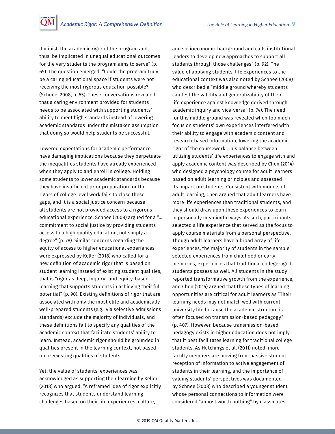diminish the academic rigor of the program and, thus, be implicated in unequal educational outcomes for the very students the program aims to serve" (p. 65). The question emerged, "Could the program truly be a caring educational space if students were not receiving the most rigorous education possible?" (Schnee, 2008, p. 65). These conversations revealed that a caring environment provided for students needs to be associated with supporting students' ability to meet high standards instead of lowering academic standards under the mistaken assumption that doing so would help students be successful.

Lowered expectations for academic performance have damaging implications because they perpetuate the inequalities students have already experienced when they apply to and enroll in college. Holding some students to lower academic standards because they have insufficient prior preparation for the rigors of college level work fails to close these gaps, and it is a social justice concern because all students are not provided access to a rigorous educational experience. Schnee (2008) argued for a "… commitment to social justice by providing students access to a high quality education, not simply a degree" (p. 78). Similar concerns regarding the equity of access to higher educational experiences were expressed by Keller (2018) who called for a new definition of academic rigor that is based on student learning instead of existing student qualities, that is "rigor as deep, inquiry- and equity-based learning that supports students in achieving their full potential" (p. 90). Existing definitions of rigor that are associated with only the most elite and academically well-prepared students (e.g., via selective admissions standards) exclude the majority of individuals, and these definitions fail to specify any qualities of the academic context that facilitate students' ability to learn. Instead, academic rigor should be grounded in qualities present in the learning context, not based on preexisting qualities of students.

Yet, the value of students' experiences was acknowledged as supporting their learning by Keller (2018) who argued, "A reframed idea of rigor explicitly recognizes that students understand learning challenges based on their life experiences, culture,

and socioeconomic background and calls institutional leaders to develop new approaches to support all students through those challenges" (p. 92). The value of applying students' life experiences to the educational context was also noted by Schnee (2008) who described a "middle ground whereby students can test the validity and generalizability of their life experience against knowledge derived through academic inquiry and vice-versa" (p. 74). The need for this middle ground was revealed when too much focus on students' own experiences interfered with their ability to engage with academic content and research-based information, lowering the academic rigor of the coursework. This balance between utilizing students' life experiences to engage with and apply academic content was described by Chen (2014) who designed a psychology course for adult learners based on adult learning principles and assessed its impact on students. Consistent with models of adult learning, Chen argued that adult learners have more life experiences than traditional students, and they should draw upon these experiences to learn in personally meaningful ways. As such, participants selected a life experience that served as the focus to apply course materials from a personal perspective. Though adult learners have a broad array of life experiences, the majority of students in the sample selected experiences from childhood or early memories, experiences that traditional college-aged students possess as well. All students in the study reported transformative growth from the experience, and Chen (2014) argued that these types of learning opportunities are critical for adult learners as "Their learning needs may not match well with current university life because the academic structure is often focused on transmission-based pedagogy" (p. 407). However, because transmission-based pedagogy exists in higher education does not imply that it best facilitates learning for traditional college students. As Hutchings et al. (2011) noted, more faculty members are moving from passive student reception of information to active engagement of students in their learning, and the importance of valuing students' perspectives was documented by Schnee (2008) who described a younger student whose personal connections to information were considered "almost worth nothing" by classmates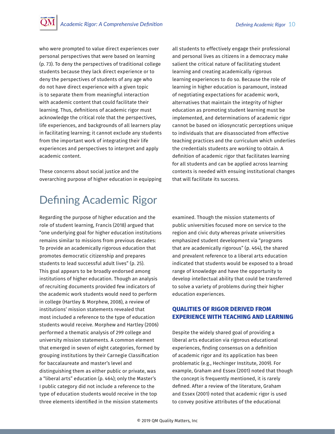<span id="page-9-0"></span>who were prompted to value direct experiences over personal perspectives that were based on learning (p. 73). To deny the perspectives of traditional college students because they lack direct experience or to deny the perspectives of students of any age who do not have direct experience with a given topic is to separate them from meaningful interaction with academic content that could facilitate their learning. Thus, definitions of academic rigor must acknowledge the critical role that the perspectives, life experiences, and backgrounds of all learners play in facilitating learning; it cannot exclude any students from the important work of integrating their life experiences and perspectives to interpret and apply academic content.

These concerns about social justice and the overarching purpose of higher education in equipping all students to effectively engage their professional and personal lives as citizens in a democracy make salient the critical nature of facilitating student learning and creating academically rigorous learning experiences to do so. Because the role of learning in higher education is paramount, instead of negotiating expectations for academic work, alternatives that maintain the integrity of higher education as promoting student learning must be implemented, and determinations of academic rigor cannot be based on idiosyncratic perceptions unique to individuals that are disassociated from effective teaching practices and the curriculum which underlies the credentials students are working to obtain. A definition of academic rigor that facilitates learning for all students and can be applied across learning contexts is needed with ensuing institutional changes that will facilitate its success.

## Defining Academic Rigor

Regarding the purpose of higher education and the role of student learning, Francis (2018) argued that "one underlying goal for higher education institutions remains similar to missions from previous decades: To provide an academically rigorous education that promotes democratic citizenship and prepares students to lead successful adult lives" (p. 25). This goal appears to be broadly endorsed among institutions of higher education. Though an analysis of recruiting documents provided few indicators of the academic work students would need to perform in college (Hartley & Morphew, 2008), a review of institutions' mission statements revealed that most included a reference to the type of education students would receive. Morphew and Hartley (2006) performed a thematic analysis of 299 college and university mission statements. A common element that emerged in seven of eight categories, formed by grouping institutions by their Carnegie Classification for baccalaureate and master's level and distinguishing them as either public or private, was a "liberal arts" education (p. 464); only the Master's I public category did not include a reference to the type of education students would receive in the top three elements identified in the mission statements

examined. Though the mission statements of public universities focused more on service to the region and civic duty whereas private universities emphasized student development via "programs that are academically rigorous" (p. 464), the shared and prevalent reference to a liberal arts education indicated that students would be exposed to a broad range of knowledge and have the opportunity to develop intellectual ability that could be transferred to solve a variety of problems during their higher education experiences.

## **QUALITIES OF RIGOR DERIVED FROM EXPERIENCE WITH TEACHING AND LEARNING**

Despite the widely shared goal of providing a liberal arts education via rigorous educational experiences, finding consensus on a definition of academic rigor and its application has been problematic (e.g., Hechinger Institute, 2009). For example, Graham and Essex (2001) noted that though the concept is frequently mentioned, it is rarely defined. After a review of the literature, Graham and Essex (2001) noted that academic rigor is used to convey positive attributes of the educational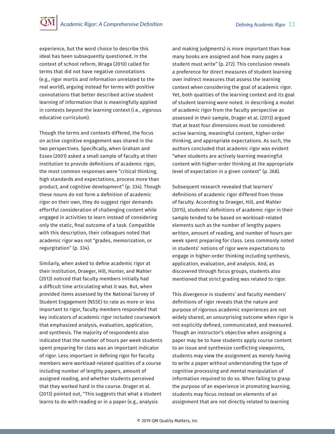experience, but the word choice to describe this ideal has been subsequently questioned. In the context of school reform, Wraga (2010) called for terms that did not have negative connotations (e.g., rigor mortis and information unrelated to the real world), arguing instead for terms with positive connotations that better described active student learning of information that is meaningfully applied in contexts beyond the learning context (i.e., vigorous educative curriculum).

Though the terms and contexts differed, the focus on active cognitive engagement was shared in the two perspectives. Specifically, when Graham and Essex (2001) asked a small sample of faculty at their institution to provide definitions of academic rigor, the most common responses were "critical thinking, high standards and expectations, process more than product, and cognitive development" (p. 334). Though these nouns do not form a definition of academic rigor on their own, they do suggest rigor demands effortful consideration of challenging content while engaged in activities to learn instead of considering only the static, final outcome of a task. Compatible with this description, their colleagues noted that academic rigor was not "grades, memorization, or regurgitation" (p. 334).

Similarly, when asked to define academic rigor at their institution, Draeger, Hill, Hunter, and Mahler (2013) noticed that faculty members initially had a difficult time articulating what it was. But, when provided items assessed by the National Survey of Student Engagement (NSSE) to rate as more or less important to rigor, faculty members responded that key indicators of academic rigor included coursework that emphasized analysis, evaluation, application, and synthesis. The majority of respondents also indicated that the number of hours per week students spent preparing for class was an important indicator of rigor. Less important in defining rigor for faculty members were workload-related qualities of a course including number of lengthy papers, amount of assigned reading, and whether students perceived that they worked hard in the course. Drager et al. (2013) pointed out, "This suggests that what a student learns to do with reading or in a paper (e.g., analysis

and making judgments) is more important than how many books are assigned and how many pages a student must write" (p. 272). This conclusion reveals a preference for direct measures of student learning over indirect measures that assess the learning context when considering the goal of academic rigor. Yet, both qualities of the learning context and its goal of student learning were noted. In describing a model of academic rigor from the faculty perspective as assessed in their sample, Drager et al. (2013) argued that at least four dimensions must be considered: active learning, meaningful content, higher-order thinking, and appropriate expectations. As such, the authors concluded that academic rigor was evident "when students are actively learning meaningful content with higher-order thinking at the appropriate level of expectation in a given context" (p. 268).

Subsequent research revealed that learners' definitions of academic rigor differed from those of faculty. According to Draeger, Hill, and Mahler (2015), students' definitions of academic rigor in their sample tended to be based on workload-related elements such as the number of lengthy papers written, amount of reading, and number of hours per week spent preparing for class. Less commonly noted in students' notions of rigor were expectations to engage in higher-order thinking including synthesis, application, evaluation, and analysis. And, as discovered through focus groups, students also mentioned that strict grading was related to rigor.

This divergence in students' and faculty members' definitions of rigor reveals that the nature and purpose of rigorous academic experiences are not widely shared, an unsurprising outcome when rigor is not explicitly defined, communicated, and measured. Though an instructor's objective when assigning a paper may be to have students apply course content to an issue and synthesize conflicting viewpoints, students may view the assignment as merely having to write a paper without understanding the type of cognitive processing and mental manipulation of information required to do so. When failing to grasp the purpose of an experience in promoting learning, students may focus instead on elements of an assignment that are not directly related to learning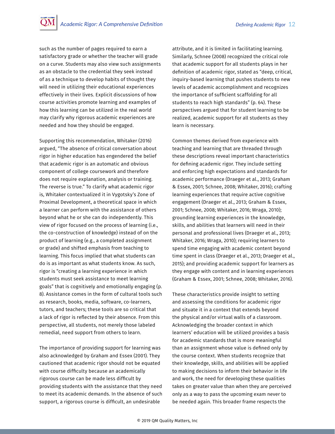such as the number of pages required to earn a satisfactory grade or whether the teacher will grade on a curve. Students may also view such assignments as an obstacle to the credential they seek instead of as a technique to develop habits of thought they will need in utilizing their educational experiences effectively in their lives. Explicit discussions of how course activities promote learning and examples of how this learning can be utilized in the real world may clarify why rigorous academic experiences are needed and how they should be engaged.

Supporting this recommendation, Whitaker (2016) argued, "The absence of critical conversation about rigor in higher education has engendered the belief that academic rigor is an automatic and obvious component of college coursework and therefore does not require explanation, analysis or training. The reverse is true." To clarify what academic rigor is, Whitaker contextualized it in Vygotsky's Zone of Proximal Development, a theoretical space in which a learner can perform with the assistance of others beyond what he or she can do independently. This view of rigor focused on the process of learning (i.e., the co-construction of knowledge) instead of on the product of learning (e.g., a completed assignment or grade) and shifted emphasis from teaching to learning. This focus implied that what students can do is as important as what students know. As such, rigor is "creating a learning experience in which students must seek assistance to meet learning goals" that is cognitively and emotionally engaging (p. 8). Assistance comes in the form of cultural tools such as research, books, media, software, co-learners, tutors, and teachers; these tools are so critical that a lack of rigor is reflected by their absence. From this perspective, all students, not merely those labeled remedial, need support from others to learn.

The importance of providing support for learning was also acknowledged by Graham and Essex (2001). They cautioned that academic rigor should not be equated with course difficulty because an academically rigorous course can be made less difficult by providing students with the assistance that they need to meet its academic demands. In the absence of such support, a rigorous course is difficult, an undesirable

attribute, and it is limited in facilitating learning. Similarly, Schnee (2008) recognized the critical role that academic support for all students plays in her definition of academic rigor, stated as "deep, critical, inquiry-based learning that pushes students to new levels of academic accomplishment and recognizes the importance of sufficient scaffolding for all students to reach high standards" (p. 64). These perspectives argued that for student learning to be realized, academic support for all students as they learn is necessary.

Common themes derived from experience with teaching and learning that are threaded through these descriptions reveal important characteristics for defining academic rigor. They include setting and enforcing high expectations and standards for academic performance (Draeger et al., 2013; Graham & Essex, 2001; Schnee, 2008; Whitaker, 2016); crafting learning experiences that require active cognitive engagement (Draeger et al., 2013; Graham & Essex, 2001; Schnee, 2008; Whitaker, 2016; Wraga, 2010); grounding learning experiences in the knowledge, skills, and abilities that learners will need in their personal and professional lives (Draeger et al., 2013; Whitaker, 2016; Wraga, 2010); requiring learners to spend time engaging with academic content beyond time spent in class (Draeger et al., 2013; Draeger et al., 2015); and providing academic support for learners as they engage with content and in learning experiences (Graham & Essex, 2001; Schnee, 2008; Whitaker, 2016).

These characteristics provide insight to setting and assessing the conditions for academic rigor and situate it in a context that extends beyond the physical and/or virtual walls of a classroom. Acknowledging the broader context in which learners' education will be utilized provides a basis for academic standards that is more meaningful than an assignment whose value is defined only by the course context. When students recognize that their knowledge, skills, and abilities will be applied to making decisions to inform their behavior in life and work, the need for developing these qualities takes on greater value than when they are perceived only as a way to pass the upcoming exam never to be needed again. This broader frame respects the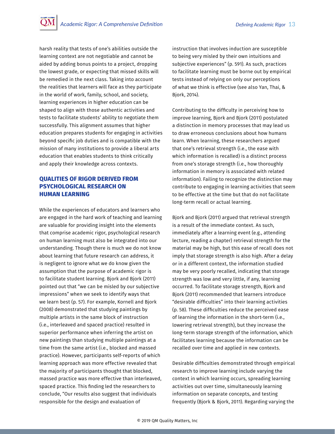<span id="page-12-0"></span>harsh reality that tests of one's abilities outside the learning context are not negotiable and cannot be aided by adding bonus points to a project, dropping the lowest grade, or expecting that missed skills will be remedied in the next class. Taking into account the realities that learners will face as they participate in the world of work, family, school, and society, learning experiences in higher education can be shaped to align with those authentic activities and tests to facilitate students' ability to negotiate them successfully. This alignment assumes that higher education prepares students for engaging in activities beyond specific job duties and is compatible with the mission of many institutions to provide a liberal arts education that enables students to think critically and apply their knowledge across contexts.

## **QUALITIES OF RIGOR DERIVED FROM PSYCHOLOGICAL RESEARCH ON HUMAN LEARNING**

While the experiences of educators and learners who are engaged in the hard work of teaching and learning are valuable for providing insight into the elements that comprise academic rigor, psychological research on human learning must also be integrated into our understanding. Though there is much we do not know about learning that future research can address, it is negligent to ignore what we do know given the assumption that the purpose of academic rigor is to facilitate student learning. Bjork and Bjork (2011) pointed out that "we can be misled by our subjective impressions" when we seek to identify ways that we learn best (p. 57). For example, Kornell and Bjork (2008) demonstrated that studying paintings by multiple artists in the same block of instruction (i.e., interleaved and spaced practice) resulted in superior performance when inferring the artist on new paintings than studying multiple paintings at a time from the same artist (i.e., blocked and massed practice). However, participants self-reports of which learning approach was more effective revealed that the majority of participants thought that blocked, massed practice was more effective than interleaved, spaced practice. This finding led the researchers to conclude, "Our results also suggest that individuals responsible for the design and evaluation of

instruction that involves induction are susceptible to being very misled by their own intuitions and subjective experiences" (p. 591). As such, practices to facilitate learning must be borne out by empirical tests instead of relying on only our perceptions of what we think is effective (see also Yan, Thai, & Bjork, 2014).

Contributing to the difficulty in perceiving how to improve learning, Bjork and Bjork (2011) postulated a distinction in memory processes that may lead us to draw erroneous conclusions about how humans learn. When learning, these researchers argued that one's retrieval strength (i.e., the ease with which information is recalled) is a distinct process from one's storage strength (i.e., how thoroughly information in memory is associated with related information). Failing to recognize the distinction may contribute to engaging in learning activities that seem to be effective at the time but that do not facilitate long-term recall or actual learning.

Bjork and Bjork (2011) argued that retrieval strength is a result of the immediate context. As such, immediately after a learning event (e.g., attending lecture, reading a chapter) retrieval strength for the material may be high, but this ease of recall does not imply that storage strength is also high. After a delay or in a different context, the information studied may be very poorly recalled, indicating that storage strength was low and very little, if any, learning occurred. To facilitate storage strength, Bjork and Bjork (2011) recommended that learners introduce "desirable difficulties" into their learning activities (p. 58). These difficulties reduce the perceived ease of learning the information in the short-term (i.e., lowering retrieval strength), but they increase the long-term storage strength of the information, which facilitates learning because the information can be recalled over time and applied in new contexts.

Desirable difficulties demonstrated through empirical research to improve learning include varying the context in which learning occurs, spreading learning activities out over time, simultaneously learning information on separate concepts, and testing frequently (Bjork & Bjork, 2011). Regarding varying the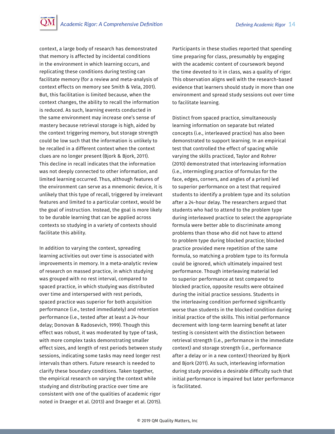context, a large body of research has demonstrated that memory is affected by incidental conditions in the environment in which learning occurs, and replicating these conditions during testing can facilitate memory (for a review and meta-analysis of context effects on memory see Smith & Vela, 2001). But, this facilitation is limited because, when the context changes, the ability to recall the information is reduced. As such, learning events conducted in the same environment may increase one's sense of mastery because retrieval storage is high, aided by the context triggering memory, but storage strength could be low such that the information is unlikely to be recalled in a different context when the context clues are no longer present (Bjork & Bjork, 2011). This decline in recall indicates that the information was not deeply connected to other information, and limited learning occurred. Thus, although features of the environment can serve as a mnemonic device, it is unlikely that this type of recall, triggered by irrelevant features and limited to a particular context, would be the goal of instruction. Instead, the goal is more likely to be durable learning that can be applied across contexts so studying in a variety of contexts should facilitate this ability.

In addition to varying the context, spreading learning activities out over time is associated with improvements in memory. In a meta-analytic review of research on massed practice, in which studying was grouped with no rest interval, compared to spaced practice, in which studying was distributed over time and interspersed with rest periods, spaced practice was superior for both acquisition performance (i.e., tested immediately) and retention performance (i.e., tested after at least a 24-hour delay; Donovan & Radosevich, 1999). Though this effect was robust, it was moderated by type of task, with more complex tasks demonstrating smaller effect sizes, and length of rest periods between study sessions, indicating some tasks may need longer rest intervals than others. Future research is needed to clarify these boundary conditions. Taken together, the empirical research on varying the context while studying and distributing practice over time are consistent with one of the qualities of academic rigor noted in Draeger et al. (2013) and Draeger et al. (2015).

Participants in these studies reported that spending time preparing for class, presumably by engaging with the academic content of coursework beyond the time devoted to it in class, was a quality of rigor. This observation aligns well with the research-based evidence that learners should study in more than one environment and spread study sessions out over time to facilitate learning.

Distinct from spaced practice, simultaneously learning information on separate but related concepts (i.e., interleaved practice) has also been demonstrated to support learning. In an empirical test that controlled the effect of spacing while varying the skills practiced, Taylor and Rohrer (2010) demonstrated that interleaving information (i.e., intermingling practice of formulas for the face, edges, corners, and angles of a prism) led to superior performance on a test that required students to identify a problem type and its solution after a 24-hour delay. The researchers argued that students who had to attend to the problem type during interleaved practice to select the appropriate formula were better able to discriminate among problems than those who did not have to attend to problem type during blocked practice; blocked practice provided mere repetition of the same formula, so matching a problem type to its formula could be ignored, which ultimately impaired test performance. Though interleaving material led to superior performance at test compared to blocked practice, opposite results were obtained during the initial practice sessions. Students in the interleaving condition performed significantly worse than students in the blocked condition during initial practice of the skills. This initial performance decrement with long-term learning benefit at later testing is consistent with the distinction between retrieval strength (i.e., performance in the immediate context) and storage strength (i.e., performance after a delay or in a new context) theorized by Bjork and Bjork (2011). As such, interleaving information during study provides a desirable difficulty such that initial performance is impaired but later performance is facilitated.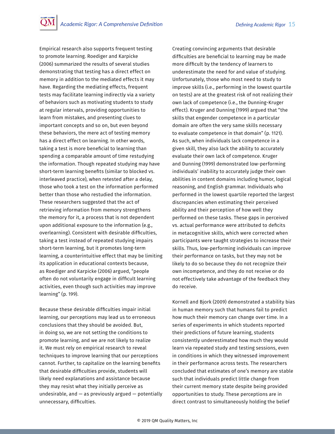Empirical research also supports frequent testing to promote learning. Roediger and Karpicke (2006) summarized the results of several studies demonstrating that testing has a direct effect on memory in addition to the mediated effects it may have. Regarding the mediating effects, frequent tests may facilitate learning indirectly via a variety of behaviors such as motivating students to study at regular intervals, providing opportunities to learn from mistakes, and presenting clues to important concepts and so on, but even beyond these behaviors, the mere act of testing memory has a direct effect on learning. In other words, taking a test is more beneficial to learning than spending a comparable amount of time restudying the information. Though repeated studying may have short-term learning benefits (similar to blocked vs. interleaved practice), when retested after a delay, those who took a test on the information performed better than those who restudied the information. These researchers suggested that the act of retrieving information from memory strengthens the memory for it, a process that is not dependent upon additional exposure to the information (e.g., overlearning). Consistent with desirable difficulties, taking a test instead of repeated studying impairs short-term learning, but it promotes long-term learning, a counterintuitive effect that may be limiting its application in educational contexts because, as Roediger and Karpicke (2006) argued, "people often do not voluntarily engage in difficult learning activities, even though such activities may improve learning" (p. 199).

Because these desirable difficulties impair initial learning, our perceptions may lead us to erroneous conclusions that they should be avoided. But, in doing so, we are not setting the conditions to promote learning, and we are not likely to realize it. We must rely on empirical research to reveal techniques to improve learning that our perceptions cannot. Further, to capitalize on the learning benefits that desirable difficulties provide, students will likely need explanations and assistance because they may resist what they initially perceive as undesirable, and  $-$  as previously argued  $-$  potentially unnecessary, difficulties.

Creating convincing arguments that desirable difficulties are beneficial to learning may be made more difficult by the tendency of learners to underestimate the need for and value of studying. Unfortunately, those who most need to study to improve skills (i.e., performing in the lowest quartile on tests) are at the greatest risk of not realizing their own lack of competence (i.e., the Dunning-Kruger effect). Kruger and Dunning (1999) argued that "the skills that engender competence in a particular domain are often the very same skills necessary to evaluate competence in that domain" (p. 1121). As such, when individuals lack competence in a given skill, they also lack the ability to accurately evaluate their own lack of competence. Kruger and Dunning (1999) demonstrated low-performing individuals' inability to accurately judge their own abilities in content domains including humor, logical reasoning, and English grammar. Individuals who performed in the lowest quartile reported the largest discrepancies when estimating their perceived ability and their perception of how well they performed on these tasks. These gaps in perceived vs. actual performance were attributed to deficits in metacognitive skills, which were corrected when participants were taught strategies to increase their skills. Thus, low-performing individuals can improve their performance on tasks, but they may not be likely to do so because they do not recognize their own incompetence, and they do not receive or do not effectively take advantage of the feedback they do receive.

Kornell and Bjork (2009) demonstrated a stability bias in human memory such that humans fail to predict how much their memory can change over time. In a series of experiments in which students reported their predictions of future learning, students consistently underestimated how much they would learn via repeated study and testing sessions, even in conditions in which they witnessed improvement in their performance across tests. The researchers concluded that estimates of one's memory are stable such that individuals predict little change from their current memory state despite being provided opportunities to study. These perceptions are in direct contrast to simultaneously holding the belief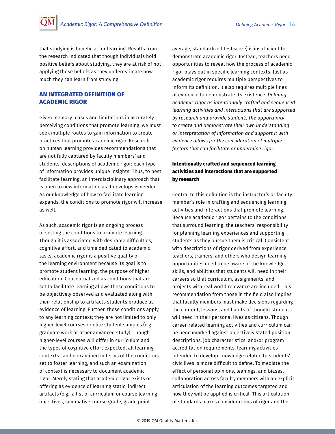<span id="page-15-0"></span>that studying is beneficial for learning. Results from the research indicated that though individuals hold positive beliefs about studying, they are at risk of not applying those beliefs as they underestimate how much they can learn from studying.

#### **AN INTEGRATED DEFINITION OF ACADEMIC RIGOR**

Given memory biases and limitations in accurately perceiving conditions that promote learning, we must seek multiple routes to gain information to create practices that promote academic rigor. Research on human learning provides recommendations that are not fully captured by faculty members' and students' descriptions of academic rigor; each type of information provides unique insights. Thus, to best facilitate learning, an interdisciplinary approach that is open to new information as it develops is needed. As our knowledge of how to facilitate learning expands, the conditions to promote rigor will increase as well.

As such, academic rigor is an ongoing process of setting the conditions to promote learning. Though it is associated with desirable difficulties, cognitive effort, and time dedicated to academic tasks, academic rigor is a positive quality of the learning environment because its goal is to promote student learning, the purpose of higher education. Conceptualized as conditions that are set to facilitate learning allows these conditions to be objectively observed and evaluated along with their relationship to artifacts students produce as evidence of learning. Further, these conditions apply to any learning context; they are not limited to only higher-level courses or elite student samples (e.g., graduate work or other advanced study). Though higher-level courses will differ in curriculum and the types of cognitive effort expected, all learning contexts can be examined in terms of the conditions set to foster learning, and such an examination of context is necessary to document academic rigor. Merely stating that academic rigor exists or offering as evidence of learning static, indirect artifacts (e.g., a list of curriculum or course learning objectives, summative course grade, grade point

average, standardized test score) is insufficient to demonstrate academic rigor. Instead, teachers need opportunities to reveal how the process of academic rigor plays out in specific learning contexts. Just as academic rigor requires multiple perspectives to inform its definition, it also requires multiple lines of evidence to demonstrate its existence. *Defining academic rigor as intentionally crafted and sequenced learning activities and interactions that are supported by research and provide students the opportunity to create and demonstrate their own understanding or interpretation of information and support it with evidence allows for the consideration of multiple factors that can facilitate or undermine rigor.*

### **Intentionally crafted and sequenced learning activities and interactions that are supported by research**

Central to this definition is the instructor's or faculty member's role in crafting and sequencing learning activities and interactions that promote learning. Because academic rigor pertains to the conditions that surround learning, the teachers' responsibility for planning learning experiences and supporting students as they pursue them is critical. Consistent with descriptions of rigor derived from experience, teachers, trainers, and others who design learning opportunities need to be aware of the knowledge, skills, and abilities that students will need in their careers so that curriculum, assignments, and projects with real world relevance are included. This recommendation from those in the field also implies that faculty members must make decisions regarding the content, lessons, and habits of thought students will need in their personal lives as citizens. Though career-related learning activities and curriculum can be benchmarked against objectively stated position descriptions, job characteristics, and/or program accreditation requirements, learning activities intended to develop knowledge related to students' civic lives is more difficult to define. To mediate the effect of personal opinions, leanings, and biases, collaboration across faculty members with an explicit articulation of the learning outcomes targeted and how they will be applied is critical. This articulation of standards makes considerations of rigor and the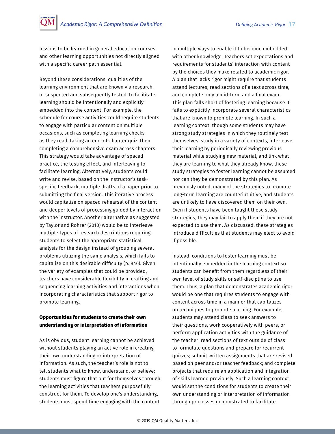<span id="page-16-0"></span>lessons to be learned in general education courses and other learning opportunities not directly aligned with a specific career path essential.

Beyond these considerations, qualities of the learning environment that are known via research, or suspected and subsequently tested, to facilitate learning should be intentionally and explicitly embedded into the context. For example, the schedule for course activities could require students to engage with particular content on multiple occasions, such as completing learning checks as they read, taking an end-of-chapter quiz, then completing a comprehensive exam across chapters. This strategy would take advantage of spaced practice, the testing effect, and interleaving to facilitate learning. Alternatively, students could write and revise, based on the instructor's taskspecific feedback, multiple drafts of a paper prior to submitting the final version. This iterative process would capitalize on spaced rehearsal of the content and deeper levels of processing guided by interaction with the instructor. Another alternative as suggested by Taylor and Rohrer (2010) would be to interleave multiple types of research descriptions requiring students to select the appropriate statistical analysis for the design instead of grouping several problems utilizing the same analysis, which fails to capitalize on this desirable difficulty (p. 846). Given the variety of examples that could be provided, teachers have considerable flexibility in crafting and sequencing learning activities and interactions when incorporating characteristics that support rigor to promote learning.

### **Opportunities for students to create their own understanding or interpretation of information**

As is obvious, student learning cannot be achieved without students playing an active role in creating their own understanding or interpretation of information. As such, the teacher's role is not to tell students what to know, understand, or believe; students must figure that out for themselves through the learning activities that teachers purposefully construct for them. To develop one's understanding, students must spend time engaging with the content

in multiple ways to enable it to become embedded with other knowledge. Teachers set expectations and requirements for students' interaction with content by the choices they make related to academic rigor. A plan that lacks rigor might require that students attend lectures, read sections of a text across time, and complete only a mid-term and a final exam. This plan falls short of fostering learning because it fails to explicitly incorporate several characteristics that are known to promote learning. In such a learning context, though some students may have strong study strategies in which they routinely test themselves, study in a variety of contexts, interleave their learning by periodically reviewing previous material while studying new material, and link what they are learning to what they already know, these study strategies to foster learning cannot be assumed nor can they be demonstrated by this plan. As previously noted, many of the strategies to promote long-term learning are counterintuitive, and students are unlikely to have discovered them on their own. Even if students have been taught these study strategies, they may fail to apply them if they are not expected to use them. As discussed, these strategies introduce difficulties that students may elect to avoid if possible.

Instead, conditions to foster learning must be intentionally embedded in the learning context so students can benefit from them regardless of their own level of study skills or self-discipline to use them. Thus, a plan that demonstrates academic rigor would be one that requires students to engage with content across time in a manner that capitalizes on techniques to promote learning. For example, students may attend class to seek answers to their questions, work cooperatively with peers, or perform application activities with the guidance of the teacher; read sections of text outside of class to formulate questions and prepare for recurrent quizzes; submit written assignments that are revised based on peer and/or teacher feedback; and complete projects that require an application and integration of skills learned previously. Such a learning context would set the conditions for students to create their own understanding or interpretation of information through processes demonstrated to facilitate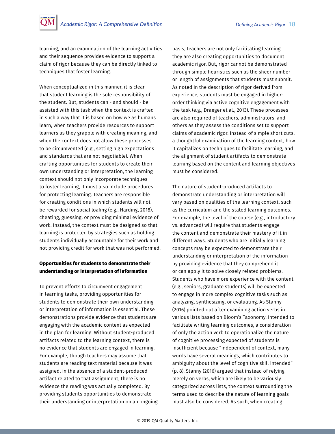<span id="page-17-0"></span>learning, and an examination of the learning activities and their sequence provides evidence to support a claim of rigor because they can be directly linked to techniques that foster learning.

When conceptualized in this manner, it is clear that student learning is the sole responsibility of the student. But, students can - and should - be assisted with this task when the context is crafted in such a way that it is based on how we as humans learn, when teachers provide resources to support learners as they grapple with creating meaning, and when the context does not allow these processes to be circumvented (e.g., setting high expectations and standards that are not negotiable). When crafting opportunities for students to create their own understanding or interpretation, the learning context should not only incorporate techniques to foster learning, it must also include procedures for protecting learning. Teachers are responsible for creating conditions in which students will not be rewarded for social loafing (e.g., Harding, 2018), cheating, guessing, or providing minimal evidence of work. Instead, the context must be designed so that learning is protected by strategies such as holding students individually accountable for their work and not providing credit for work that was not performed.

### **Opportunities for students to demonstrate their understanding or interpretation of information**

To prevent efforts to circumvent engagement in learning tasks, providing opportunities for students to demonstrate their own understanding or interpretation of information is essential. These demonstrations provide evidence that students are engaging with the academic content as expected in the plan for learning. Without student-produced artifacts related to the learning context, there is no evidence that students are engaged in learning. For example, though teachers may assume that students are reading text material because it was assigned, in the absence of a student-produced artifact related to that assignment, there is no evidence the reading was actually completed. By providing students opportunities to demonstrate their understanding or interpretation on an ongoing basis, teachers are not only facilitating learning they are also creating opportunities to document academic rigor. But, rigor cannot be demonstrated through simple heuristics such as the sheer number or length of assignments that students must submit. As noted in the description of rigor derived from experience, students must be engaged in higherorder thinking via active cognitive engagement with the task (e.g., Draeger et al., 2013). These processes are also required of teachers, administrators, and others as they assess the conditions set to support claims of academic rigor. Instead of simple short cuts, a thoughtful examination of the learning context, how it capitalizes on techniques to facilitate learning, and the alignment of student artifacts to demonstrate learning based on the content and learning objectives must be considered.

The nature of student-produced artifacts to demonstrate understanding or interpretation will vary based on qualities of the learning context, such as the curriculum and the stated learning outcomes. For example, the level of the course (e.g., introductory vs. advanced) will require that students engage the content and demonstrate their mastery of it in different ways. Students who are initially learning concepts may be expected to demonstrate their understanding or interpretation of the information by providing evidence that they comprehend it or can apply it to solve closely related problems. Students who have more experience with the content (e.g., seniors, graduate students) will be expected to engage in more complex cognitive tasks such as analyzing, synthesizing, or evaluating. As Stanny (2016) pointed out after examining action verbs in various lists based on Bloom's Taxonomy, intended to facilitate writing learning outcomes, a consideration of only the action verb to operationalize the nature of cognitive processing expected of students is insufficient because "independent of context, many words have several meanings, which contributes to ambiguity about the level of cognitive skill intended" (p. 8). Stanny (2016) argued that instead of relying merely on verbs, which are likely to be variously categorized across lists, the context surrounding the terms used to describe the nature of learning goals must also be considered. As such, when creating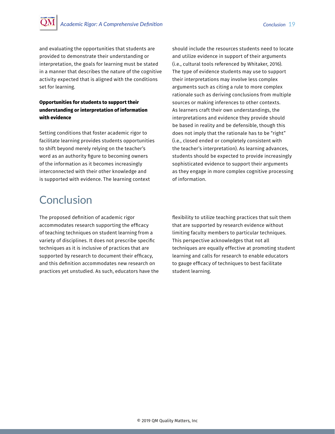<span id="page-18-0"></span>and evaluating the opportunities that students are provided to demonstrate their understanding or interpretation, the goals for learning must be stated in a manner that describes the nature of the cognitive activity expected that is aligned with the conditions set for learning.

## **Opportunities for students to support their understanding or interpretation of information with evidence**

Setting conditions that foster academic rigor to facilitate learning provides students opportunities to shift beyond merely relying on the teacher's word as an authority figure to becoming owners of the information as it becomes increasingly interconnected with their other knowledge and is supported with evidence. The learning context

# Conclusion

The proposed definition of academic rigor accommodates research supporting the efficacy of teaching techniques on student learning from a variety of disciplines. It does not prescribe specific techniques as it is inclusive of practices that are supported by research to document their efficacy, and this definition accommodates new research on practices yet unstudied. As such, educators have the should include the resources students need to locate and utilize evidence in support of their arguments (i.e., cultural tools referenced by Whitaker, 2016). The type of evidence students may use to support their interpretations may involve less complex arguments such as citing a rule to more complex rationale such as deriving conclusions from multiple sources or making inferences to other contexts. As learners craft their own understandings, the interpretations and evidence they provide should be based in reality and be defensible, though this does not imply that the rationale has to be "right" (i.e., closed ended or completely consistent with the teacher's interpretation). As learning advances, students should be expected to provide increasingly sophisticated evidence to support their arguments as they engage in more complex cognitive processing of information.

flexibility to utilize teaching practices that suit them that are supported by research evidence without limiting faculty members to particular techniques. This perspective acknowledges that not all techniques are equally effective at promoting student learning and calls for research to enable educators to gauge efficacy of techniques to best facilitate student learning.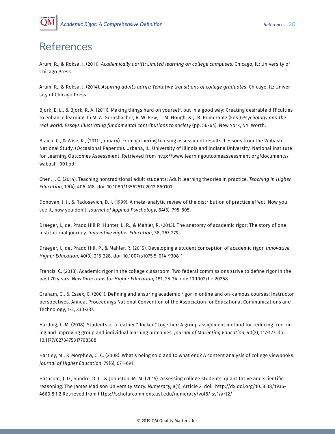<span id="page-19-0"></span>

## References

Arum, R., & Roksa, J. (2011). *Academically adrift: Limited learning on college campuses*. Chicago, IL: University of Chicago Press.

Arum, R., & Roksa, J. (2014). *Aspiring adults adrift: Tentative transitions of college graduates*. Chicago, IL: University of Chicago Press.

Bjork, E. L., & Bjork, R. A. (2011). Making things hard on yourself, but in a good way: Creating desirable difficulties to enhance learning. In M. A. Gernsbacher, R. W. Pew, L. M. Hough, & J. R. Pomerantz (Eds.) *Psychology and the real world: Essays illustrating fundamental contributions to society* (pp. 56-64). New York, NY: Worth.

Blaich, C., & Wise, K., (2011, January). From gathering to using assessment results: Lessons from the Wabash National Study. (Occasional Paper #8). Urbana, IL: University of Illinois and Indiana University, National Institute for Learning Outcomes Assessment. Retrieved from http://www.learningoutcomeassessment.org/documents/ wabash\_001.pdf

Chen, J. C. (2014). Teaching nontraditional adult students: Adult learning theories in practice. *Teaching in Higher Education*, 19(4), 406-418. doi: 10.1080/13562517.2013.860101

Donovan, J. J., & Radosevich, D. J. (1999). A meta-analytic review of the distribution of practice effect: Now you see it, now you don't. *Journal of Applied Psychology*, 84(5), 795-805.

Draeger, J., del Prado Hill P., Hunter, L. R., & Mahler, R. (2013). The anatomy of academic rigor: The story of one institutional journey. *Innovative Higher Education*, 38, 267-279.

Draeger, J., del Prado Hill, P., & Mahler, R. (2015). Developing a student conception of academic rigor. *Innovative Higher Education*, 40(3), 215-228. doi: 10.1007/s1075 5-014-9308-1

Francis, C. (2018). Academic rigor in the college classroom: Two federal commissions strive to define rigor in the past 70 years. *New Directions for Higher Education*, 181, 25-34. doi: 10.1002/he.20268

Graham, C., & Essex, C. (2001). Defining and ensuring academic rigor in online and on-campus courses: Instructor perspectives. Annual Proceedings National Convention of the Association for Educational Communications and Technology, 1-2, 330-337.

Harding, L. M. (2018). Students of a feather "flocked" together: A group assignment method for reducing free-riding and improving group and individual learning outcomes. *Journal of Marketing Education*, 40(2), 117-127. doi: 10.1177/0273475317708588

Hartley, M., & Morphew, C. C. (2008). What's being sold and to what end? A content analysis of college viewbooks. *Journal of Higher Education*, 79(6), 671-691.

Hathcoat, J. D., Sundre, D. L., & Johnston, M. M. (2015). Assessing college students' quantitative and scientific reasoning: The James Madison University story. *Numeracy*, 8(1), Article 2. doi: http://dx.doi.org/10.5038/1936- 4660.8.1.2 Retrieved from https://scholarcommons.usf.edu/numeracy/vol8/iss1/art2/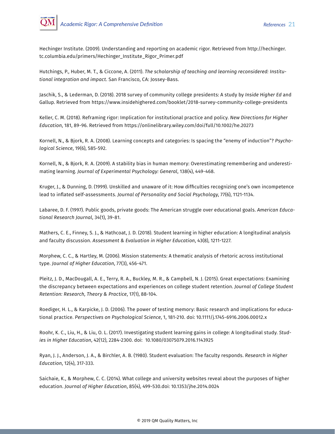

Hechinger Institute. (2009). Understanding and reporting on academic rigor. Retrieved from http://hechinger. tc.columbia.edu/primers/Hechinger\_Institute\_Rigor\_Primer.pdf

Hutchings, P., Huber, M. T., & Ciccone, A. (2011). *The scholarship of teaching and learning reconsidered: Institutional integration and impact*. San Francisco, CA: Jossey-Bass.

Jaschik, S., & Lederman, D. (2018). 2018 survey of community college presidents: A study by *Inside Higher Ed* and Gallup. Retrieved from https://www.insidehighered.com/booklet/2018-survey-community-college-presidents

Keller, C. M. (2018). Reframing rigor: Implication for institutional practice and policy. *New Directions for Higher Education*, 181, 89-96. Retrieved from https://onlinelibrary.wiley.com/doi/full/10.1002/he.20273

Kornell, N., & Bjork, R. A. (2008). Learning concepts and categories: Is spacing the "enemy of induction"? *Psychological Science*, 19(6), 585-592.

Kornell, N., & Bjork, R. A. (2009). A stability bias in human memory: Overestimating remembering and underestimating learning. *Journal of Experimental Psychology: General*, 138(4), 449-468.

Kruger, J., & Dunning, D. (1999). Unskilled and unaware of it: How difficulties recognizing one's own incompetence lead to inflated self-assessments. *Journal of Personality and Social Psychology*, 77(6), 1121-1134.

Labaree, D. F. (1997). Public goods, private goods: The American struggle over educational goals. *American Educational Research Journal*, 34(1), 39-81.

Mathers, C. E., Finney, S. J., & Hathcoat, J. D. (2018). Student learning in higher education: A longitudinal analysis and faculty discussion. *Assessment & Evaluation in Higher Education*, 43(8), 1211-1227.

Morphew, C. C., & Hartley, M. (2006). Mission statements: A thematic analysis of rhetoric across institutional type. *Journal of Higher Education*, 77(3), 456-471.

Pleitz, J. D., MacDougall, A. E., Terry, R. A., Buckley, M. R., & Campbell, N. J. (2015). Great expectations: Examining the discrepancy between expectations and experiences on college student retention. *Journal of College Student Retention: Research, Theory & Practice*, 17(1), 88-104.

Roediger, H. L., & Karpicke, J. D. (2006). The power of testing memory: Basic research and implications for educational practice. *Perspectives on Psychological Science*, 1, 181-210. doi: 10.1111/j.1745-6916.2006.00012.x

Roohr, K. C., Liu, H., & Liu, O. L. (2017). Investigating student learning gains in college: A longitudinal study. *Studies in Higher Education*, 42(12), 2284-2300. doi: 10.1080/03075079.2016.1143925

Ryan, J. J., Anderson, J. A., & Birchler, A. B. (1980). Student evaluation: The faculty responds. *Research in Higher Education*, 12(4), 317-333.

Saichaie, K., & Morphew, C. C. (2014). What college and university websites reveal about the purposes of higher education. *Journal of Higher Education*, 85(4), 499-530.doi: 10.1353/jhe.2014.0024